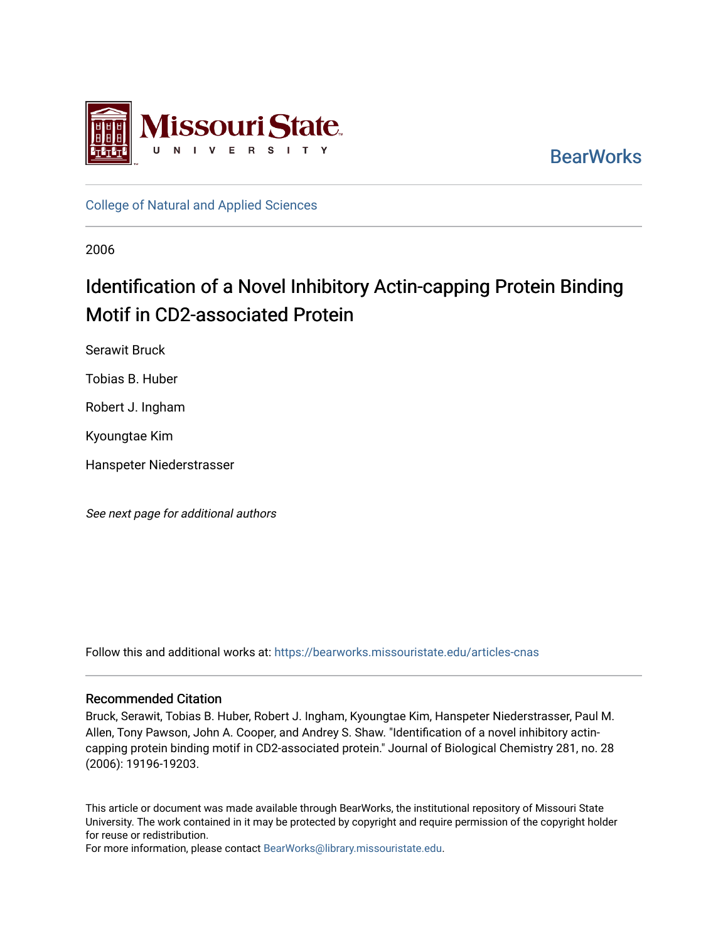

**BearWorks** 

[College of Natural and Applied Sciences](https://bearworks.missouristate.edu/articles-cnas)

2006

# Identification of a Novel Inhibitory Actin-capping Protein Binding Motif in CD2-associated Protein

Serawit Bruck

Tobias B. Huber

Robert J. Ingham

Kyoungtae Kim

Hanspeter Niederstrasser

See next page for additional authors

Follow this and additional works at: [https://bearworks.missouristate.edu/articles-cnas](https://bearworks.missouristate.edu/articles-cnas?utm_source=bearworks.missouristate.edu%2Farticles-cnas%2F695&utm_medium=PDF&utm_campaign=PDFCoverPages) 

# Recommended Citation

Bruck, Serawit, Tobias B. Huber, Robert J. Ingham, Kyoungtae Kim, Hanspeter Niederstrasser, Paul M. Allen, Tony Pawson, John A. Cooper, and Andrey S. Shaw. "Identification of a novel inhibitory actincapping protein binding motif in CD2-associated protein." Journal of Biological Chemistry 281, no. 28 (2006): 19196-19203.

This article or document was made available through BearWorks, the institutional repository of Missouri State University. The work contained in it may be protected by copyright and require permission of the copyright holder for reuse or redistribution.

For more information, please contact [BearWorks@library.missouristate.edu.](mailto:BearWorks@library.missouristate.edu)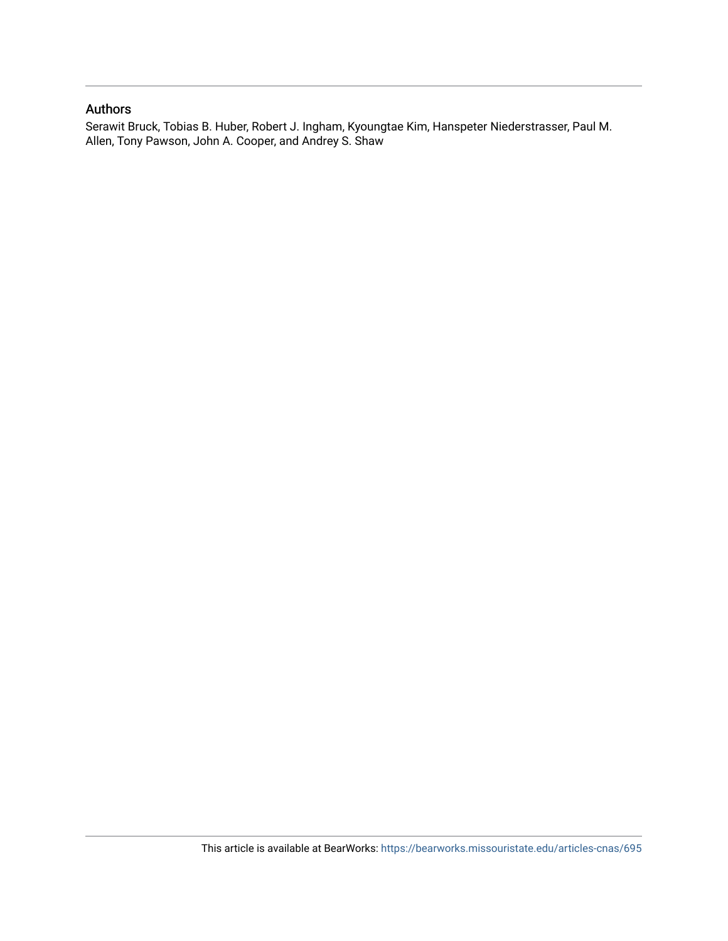# Authors

Serawit Bruck, Tobias B. Huber, Robert J. Ingham, Kyoungtae Kim, Hanspeter Niederstrasser, Paul M. Allen, Tony Pawson, John A. Cooper, and Andrey S. Shaw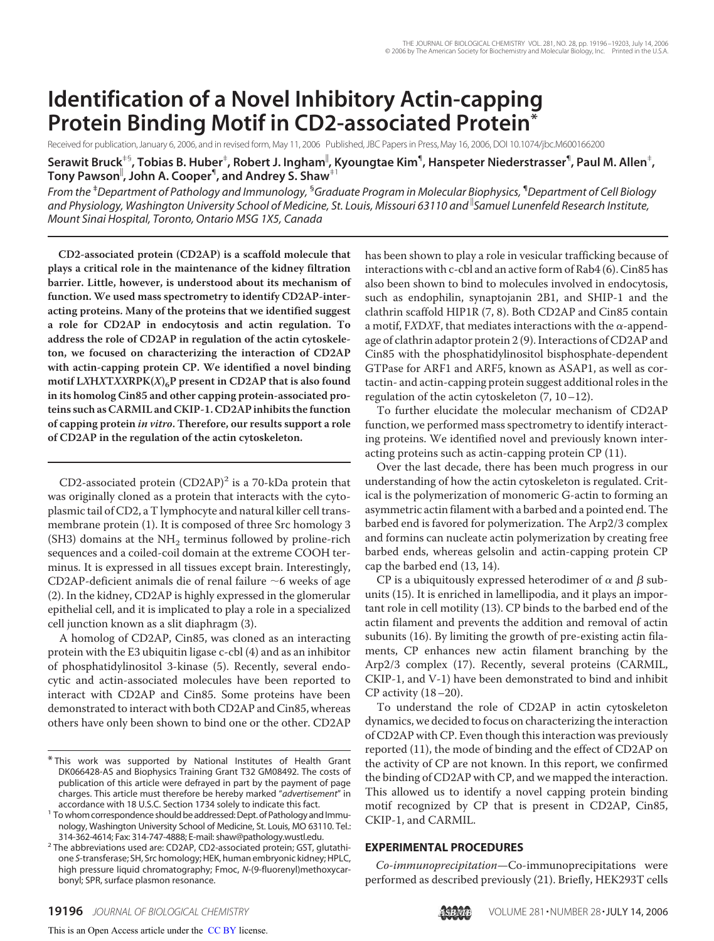# **Identification of a Novel Inhibitory Actin-capping Protein Binding Motif in CD2-associated Protein\***

Received for publication, January 6, 2006, and in revised form, May 11, 2006 Published, JBC Papers in Press, May 16, 2006, DOI 10.1074/jbc.M600166200

 $S$ erawit Bruck $^{*5}$ , Tobias B. Huber $^{\ddagger}$ , Robert J. Ingham $^\|$ , Kyoungtae Kim $^\P$ , Hanspeter Niederstrasser $^\P$ , Paul M. Allen $^\dagger$ , **Tony Pawson , John A. Cooper**¶ **, and Andrey S. Shaw**‡1

*From the* ‡ *Department of Pathology and Immunology,* § *Graduate Program in Molecular Biophysics,* ¶ *Department of Cell Biology and Physiology, Washington University School of Medicine, St. Louis, Missouri 63110 and Samuel Lunenfeld Research Institute, Mount Sinai Hospital, Toronto, Ontario MSG 1X5, Canada*

**CD2-associated protein (CD2AP) is a scaffold molecule that plays a critical role in the maintenance of the kidney filtration barrier. Little, however, is understood about its mechanism of function. We used mass spectrometry to identify CD2AP-interacting proteins. Many of the proteins that we identified suggest a role for CD2AP in endocytosis and actin regulation. To address the role of CD2AP in regulation of the actin cytoskeleton, we focused on characterizing the interaction of CD2AP with actin-capping protein CP. We identified a novel binding** motif L*X***H***XTXXRPK***(***X***)<sub>6</sub>P present in CD2AP that is also found in its homolog Cin85 and other capping protein-associated proteins such as CARMIL and CKIP-1. CD2AP inhibits the function of capping protein** *in vitro***. Therefore, our results support a role of CD2AP in the regulation of the actin cytoskeleton.**

CD2-associated protein  $(CD2AP)^2$  is a 70-kDa protein that was originally cloned as a protein that interacts with the cytoplasmic tail of CD2, a T lymphocyte and natural killer cell transmembrane protein (1). It is composed of three Src homology 3  $(SH3)$  domains at the NH<sub>2</sub> terminus followed by proline-rich sequences and a coiled-coil domain at the extreme COOH terminus. It is expressed in all tissues except brain. Interestingly, CD2AP-deficient animals die of renal failure  $\sim$ 6 weeks of age (2). In the kidney, CD2AP is highly expressed in the glomerular epithelial cell, and it is implicated to play a role in a specialized cell junction known as a slit diaphragm (3).

A homolog of CD2AP, Cin85, was cloned as an interacting protein with the E3 ubiquitin ligase c-cbl (4) and as an inhibitor of phosphatidylinositol 3-kinase (5). Recently, several endocytic and actin-associated molecules have been reported to interact with CD2AP and Cin85. Some proteins have been demonstrated to interact with both CD2AP and Cin85, whereas others have only been shown to bind one or the other. CD2AP

has been shown to play a role in vesicular trafficking because of interactions with c-cbl and an active form of Rab4 (6). Cin85 has also been shown to bind to molecules involved in endocytosis, such as endophilin, synaptojanin 2B1, and SHIP-1 and the clathrin scaffold HIP1R (7, 8). Both CD2AP and Cin85 contain a motif, FXDXF, that mediates interactions with the  $\alpha$ -appendage of clathrin adaptor protein 2 (9). Interactions of CD2AP and Cin85 with the phosphatidylinositol bisphosphate-dependent GTPase for ARF1 and ARF5, known as ASAP1, as well as cortactin- and actin-capping protein suggest additional roles in the regulation of the actin cytoskeleton  $(7, 10-12)$ .

To further elucidate the molecular mechanism of CD2AP function, we performed mass spectrometry to identify interacting proteins. We identified novel and previously known interacting proteins such as actin-capping protein CP (11).

Over the last decade, there has been much progress in our understanding of how the actin cytoskeleton is regulated. Critical is the polymerization of monomeric G-actin to forming an asymmetric actin filament with a barbed and a pointed end. The barbed end is favored for polymerization. The Arp2/3 complex and formins can nucleate actin polymerization by creating free barbed ends, whereas gelsolin and actin-capping protein CP cap the barbed end (13, 14).

CP is a ubiquitously expressed heterodimer of  $\alpha$  and  $\beta$  subunits (15). It is enriched in lamellipodia, and it plays an important role in cell motility (13). CP binds to the barbed end of the actin filament and prevents the addition and removal of actin subunits (16). By limiting the growth of pre-existing actin filaments, CP enhances new actin filament branching by the Arp2/3 complex (17). Recently, several proteins (CARMIL, CKIP-1, and V-1) have been demonstrated to bind and inhibit CP activity  $(18–20)$ .

To understand the role of CD2AP in actin cytoskeleton dynamics, we decided to focus on characterizing the interaction of CD2AP with CP. Even though this interaction was previously reported (11), the mode of binding and the effect of CD2AP on the activity of CP are not known. In this report, we confirmed the binding of CD2AP with CP, and we mapped the interaction. This allowed us to identify a novel capping protein binding motif recognized by CP that is present in CD2AP, Cin85, CKIP-1, and CARMIL.

#### **EXPERIMENTAL PROCEDURES**

*Co-immunoprecipitation*—Co-immunoprecipitations were performed as described previously (21). Briefly, HEK293T cells



<sup>\*</sup> This work was supported by National Institutes of Health Grant DK066428-AS and Biophysics Training Grant T32 GM08492. The costs of publication of this article were defrayed in part by the payment of page charges. This article must therefore be hereby marked "*advertisement*" in

accordance with 18 U.S.C. Section 1734 solely to indicate this fact. <sup>1</sup> To whom correspondence should be addressed:Dept. of Pathology and Immunology, Washington University School of Medicine, St. Louis, MO 63110. Tel.:<br>314-362-4614; Fax: 314-747-4888; E-mail: shaw@pathology.wustl.edu.

<sup>&</sup>lt;sup>2</sup> The abbreviations used are: CD2AP, CD2-associated protein; GST, glutathione *S*-transferase; SH, Src homology; HEK, human embryonic kidney; HPLC, high pressure liquid chromatography; Fmoc, *N*-(9-fluorenyl)methoxycarbonyl; SPR, surface plasmon resonance.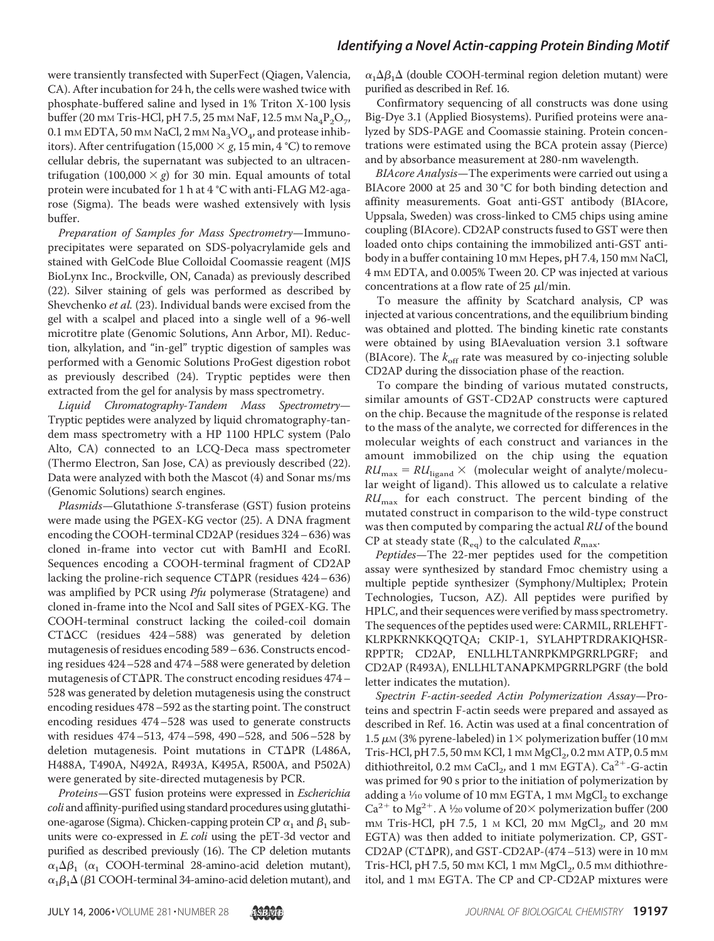were transiently transfected with SuperFect (Qiagen, Valencia, CA). After incubation for 24 h, the cells were washed twice with phosphate-buffered saline and lysed in 1% Triton X-100 lysis buffer (20 mm Tris-HCl, pH 7.5, 25 mm NaF, 12.5 mm Na<sub>4</sub>P<sub>2</sub>O<sub>7</sub>, 0.1 mm EDTA, 50 mm NaCl, 2 mm Na<sub>3</sub>VO<sub>4</sub>, and protease inhibitors). After centrifugation (15,000  $\times$  *g*, 15 min, 4 °C) to remove cellular debris, the supernatant was subjected to an ultracentrifugation  $(100,000 \times g)$  for 30 min. Equal amounts of total protein were incubated for 1 h at 4 °C with anti-FLAG M2-agarose (Sigma). The beads were washed extensively with lysis buffer.

*Preparation of Samples for Mass Spectrometry*—Immunoprecipitates were separated on SDS-polyacrylamide gels and stained with GelCode Blue Colloidal Coomassie reagent (MJS BioLynx Inc., Brockville, ON, Canada) as previously described (22). Silver staining of gels was performed as described by Shevchenko *et al.* (23). Individual bands were excised from the gel with a scalpel and placed into a single well of a 96-well microtitre plate (Genomic Solutions, Ann Arbor, MI). Reduction, alkylation, and "in-gel" tryptic digestion of samples was performed with a Genomic Solutions ProGest digestion robot as previously described (24). Tryptic peptides were then extracted from the gel for analysis by mass spectrometry.

*Liquid Chromatography-Tandem Mass Spectrometry*— Tryptic peptides were analyzed by liquid chromatography-tandem mass spectrometry with a HP 1100 HPLC system (Palo Alto, CA) connected to an LCQ-Deca mass spectrometer (Thermo Electron, San Jose, CA) as previously described (22). Data were analyzed with both the Mascot (4) and Sonar ms/ms (Genomic Solutions) search engines.

*Plasmids*—Glutathione *S*-transferase (GST) fusion proteins were made using the PGEX-KG vector (25). A DNA fragment encoding the COOH-terminal CD2AP (residues 324– 636) was cloned in-frame into vector cut with BamHI and EcoRI. Sequences encoding a COOH-terminal fragment of CD2AP lacking the proline-rich sequence  $CT\Delta PR$  (residues 424-636) was amplified by PCR using *Pfu* polymerase (Stratagene) and cloned in-frame into the NcoI and SalI sites of PGEX-KG. The COOH-terminal construct lacking the coiled-coil domain  $CTACC$  (residues 424–588) was generated by deletion mutagenesis of residues encoding 589– 636. Constructs encoding residues 424–528 and 474–588 were generated by deletion mutagenesis of CT $\Delta$ PR. The construct encoding residues 474 – 528 was generated by deletion mutagenesis using the construct encoding residues 478–592 as the starting point. The construct encoding residues 474–528 was used to generate constructs with residues 474–513, 474–598, 490–528, and 506–528 by deletion mutagenesis. Point mutations in  $CT\Delta PR$  (L486A, H488A, T490A, N492A, R493A, K495A, R500A, and P502A) were generated by site-directed mutagenesis by PCR.

*Proteins*—GST fusion proteins were expressed in *Escherichia coli* and affinity-purified using standard procedures using glutathione-agarose (Sigma). Chicken-capping protein CP  $\alpha_1$  and  $\beta_1$  subunits were co-expressed in *E. coli* using the pET-3d vector and purified as described previously (16). The CP deletion mutants  $\alpha_1 \Delta \beta_1$  ( $\alpha_1$  COOH-terminal 28-amino-acid deletion mutant),  $\alpha_1\beta_1\Delta$  ( $\beta$ 1 COOH-terminal 34-amino-acid deletion mutant), and

 $\alpha_1 \Delta \beta_1 \Delta$  (double COOH-terminal region deletion mutant) were purified as described in Ref. 16.

Confirmatory sequencing of all constructs was done using Big-Dye 3.1 (Applied Biosystems). Purified proteins were analyzed by SDS-PAGE and Coomassie staining. Protein concentrations were estimated using the BCA protein assay (Pierce) and by absorbance measurement at 280-nm wavelength.

*BIAcore Analysis*—The experiments were carried out using a BIAcore 2000 at 25 and 30 °C for both binding detection and affinity measurements. Goat anti-GST antibody (BIAcore, Uppsala, Sweden) was cross-linked to CM5 chips using amine coupling (BIAcore). CD2AP constructs fused to GST were then loaded onto chips containing the immobilized anti-GST antibody in a buffer containing 10 mm Hepes, pH 7.4, 150 mm NaCl, 4 mM EDTA, and 0.005% Tween 20. CP was injected at various concentrations at a flow rate of 25  $\mu$ l/min.

To measure the affinity by Scatchard analysis, CP was injected at various concentrations, and the equilibrium binding was obtained and plotted. The binding kinetic rate constants were obtained by using BIAevaluation version 3.1 software (BIAcore). The  $k_{\text{off}}$  rate was measured by co-injecting soluble CD2AP during the dissociation phase of the reaction.

To compare the binding of various mutated constructs, similar amounts of GST-CD2AP constructs were captured on the chip. Because the magnitude of the response is related to the mass of the analyte, we corrected for differences in the molecular weights of each construct and variances in the amount immobilized on the chip using the equation  $RU_{\text{max}} = RU_{\text{ligand}} \times$  (molecular weight of analyte/molecular weight of ligand). This allowed us to calculate a relative *RU*max for each construct. The percent binding of the mutated construct in comparison to the wild-type construct was then computed by comparing the actual *RU* of the bound CP at steady state  $(R_{eq})$  to the calculated  $R_{max}$ .

*Peptides*—The 22-mer peptides used for the competition assay were synthesized by standard Fmoc chemistry using a multiple peptide synthesizer (Symphony/Multiplex; Protein Technologies, Tucson, AZ). All peptides were purified by HPLC, and their sequences were verified by mass spectrometry. The sequences of the peptides used were: CARMIL, RRLEHFT-KLRPKRNKKQQTQA; CKIP-1, SYLAHPTRDRAKIQHSR-RPPTR; CD2AP, ENLLHLTANRPKMPGRRLPGRF; and CD2AP (R493A), ENLLHLTAN**A**PKMPGRRLPGRF (the bold letter indicates the mutation).

*Spectrin F-actin-seeded Actin Polymerization Assay*—Proteins and spectrin F-actin seeds were prepared and assayed as described in Ref. 16. Actin was used at a final concentration of 1.5  $\mu$ M (3% pyrene-labeled) in  $1\times$  polymerization buffer (10 mM Tris-HCl, pH 7.5, 50 mm KCl, 1 mm MgCl<sub>2</sub>, 0.2 mm ATP, 0.5 mm dithiothreitol, 0.2 mm CaCl<sub>2</sub>, and 1 mm EGTA). Ca<sup>2+</sup>-G-actin was primed for 90 s prior to the initiation of polymerization by adding a  $1/10$  volume of 10 mm EGTA, 1 mm MgCl<sub>2</sub> to exchange  $Ca^{2+}$  to Mg<sup>2+</sup>. A 1/20 volume of 20× polymerization buffer (200 mm Tris-HCl, pH 7.5, 1  $\mu$  KCl, 20 mm MgCl<sub>2</sub>, and 20 mm EGTA) was then added to initiate polymerization. CP, GST- $CD2AP (CT\Delta PR)$ , and GST-CD2AP-(474-513) were in 10 mm Tris-HCl, pH 7.5, 50 mm KCl, 1 mm  $MgCl<sub>2</sub>$ , 0.5 mm dithiothreitol, and 1 mM EGTA. The CP and CP-CD2AP mixtures were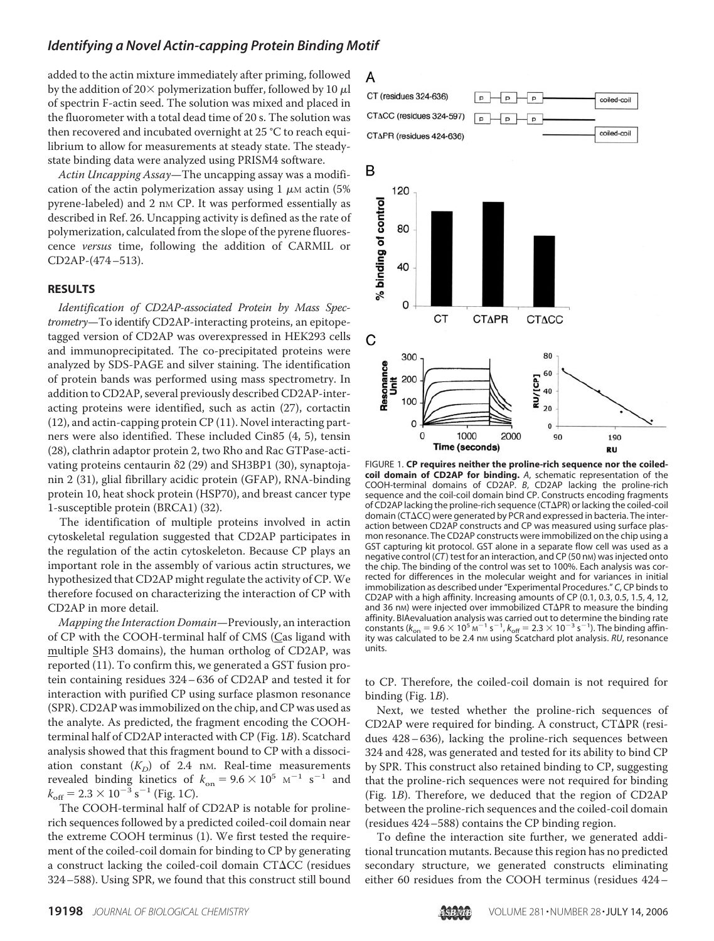added to the actin mixture immediately after priming, followed by the addition of 20 $\times$  polymerization buffer, followed by 10  $\mu$ l of spectrin F-actin seed. The solution was mixed and placed in the fluorometer with a total dead time of 20 s. The solution was then recovered and incubated overnight at 25 °C to reach equilibrium to allow for measurements at steady state. The steadystate binding data were analyzed using PRISM4 software.

*Actin Uncapping Assay*—The uncapping assay was a modification of the actin polymerization assay using 1  $\mu$ M actin (5%) pyrene-labeled) and 2 nm CP. It was performed essentially as described in Ref. 26. Uncapping activity is defined as the rate of polymerization, calculated from the slope of the pyrene fluorescence *versus* time, following the addition of CARMIL or CD2AP-(474–513).

#### **RESULTS**

*Identification of CD2AP-associated Protein by Mass Spectrometry*—To identify CD2AP-interacting proteins, an epitopetagged version of CD2AP was overexpressed in HEK293 cells and immunoprecipitated. The co-precipitated proteins were analyzed by SDS-PAGE and silver staining. The identification of protein bands was performed using mass spectrometry. In addition to CD2AP, several previously described CD2AP-interacting proteins were identified, such as actin (27), cortactin (12), and actin-capping protein CP (11). Novel interacting partners were also identified. These included Cin85 (4, 5), tensin (28), clathrin adaptor protein 2, two Rho and Rac GTPase-activating proteins centaurin  $\delta$ 2 (29) and SH3BP1 (30), synaptojanin 2 (31), glial fibrillary acidic protein (GFAP), RNA-binding protein 10, heat shock protein (HSP70), and breast cancer type 1-susceptible protein (BRCA1) (32).

The identification of multiple proteins involved in actin cytoskeletal regulation suggested that CD2AP participates in the regulation of the actin cytoskeleton. Because CP plays an important role in the assembly of various actin structures, we hypothesized that CD2AP might regulate the activity of CP.We therefore focused on characterizing the interaction of CP with CD2AP in more detail.

*Mapping the Interaction Domain*—Previously, an interaction of CP with the COOH-terminal half of CMS (Cas ligand with multiple SH3 domains), the human ortholog of CD2AP, was reported (11). To confirm this, we generated a GST fusion protein containing residues 324– 636 of CD2AP and tested it for interaction with purified CP using surface plasmon resonance (SPR). CD2AP was immobilized on the chip, and CP was used as the analyte. As predicted, the fragment encoding the COOHterminal half of CD2AP interacted with CP (Fig. 1*B*). Scatchard analysis showed that this fragment bound to CP with a dissociation constant  $(K_D)$  of 2.4 nm. Real-time measurements revealed binding kinetics of  $k_{on} = 9.6 \times 10^5 \text{ M}^{-1} \text{ s}^{-1}$  and  $k_{\text{off}} = 2.3 \times 10^{-3} \text{ s}^{-1}$  (Fig. 1*C*).

The COOH-terminal half of CD2AP is notable for prolinerich sequences followed by a predicted coiled-coil domain near the extreme COOH terminus (1). We first tested the requirement of the coiled-coil domain for binding to CP by generating a construct lacking the coiled-coil domain  $CT\Delta CC$  (residues 324–588). Using SPR, we found that this construct still bound

### A



FIGURE 1. **CP requires neither the proline-rich sequence nor the coiledcoil domain of CD2AP for binding.** *A*, schematic representation of the COOH-terminal domains of CD2AP. *B*, CD2AP lacking the proline-rich sequence and the coil-coil domain bind CP. Constructs encoding fragments of CD2AP lacking the proline-rich sequence (CT $\Delta$ PR) or lacking the coiled-coil domain (CT $\Delta$ CC) were generated by PCR and expressed in bacteria. The interaction between CD2AP constructs and CP was measured using surface plasmon resonance. The CD2AP constructs were immobilized on the chip using a GST capturing kit protocol. GST alone in a separate flow cell was used as a negative control (*CT* ) test for an interaction, and CP (50 nM) was injected onto the chip. The binding of the control was set to 100%. Each analysis was corrected for differences in the molecular weight and for variances in initial immobilization as described under "Experimental Procedures." *C*, CP binds to CD2AP with a high affinity. Increasing amounts of CP (0.1, 0.3, 0.5, 1.5, 4, 12, and 36 nm) were injected over immobilized CT $\Delta$ PR to measure the binding affinity. BIAevaluation analysis was carried out to determine the binding rate constants ( $k_{on} = 9.6 \times 10^5 \text{ m}^{-1} \text{ s}^{-1}$ ,  $k_{off} = 2.3 \times 10^{-3} \text{ s}^{-1}$ ). The binding affinity was calculated to be 2.4 nm using Scatchard plot analysis. RU, resonance units.

to CP. Therefore, the coiled-coil domain is not required for binding (Fig. 1*B*).

Next, we tested whether the proline-rich sequences of CD2AP were required for binding. A construct, CT $\Delta$ PR (residues 428– 636), lacking the proline-rich sequences between 324 and 428, was generated and tested for its ability to bind CP by SPR. This construct also retained binding to CP, suggesting that the proline-rich sequences were not required for binding (Fig. 1*B*). Therefore, we deduced that the region of CD2AP between the proline-rich sequences and the coiled-coil domain (residues 424–588) contains the CP binding region.

To define the interaction site further, we generated additional truncation mutants. Because this region has no predicted secondary structure, we generated constructs eliminating either 60 residues from the COOH terminus (residues 424–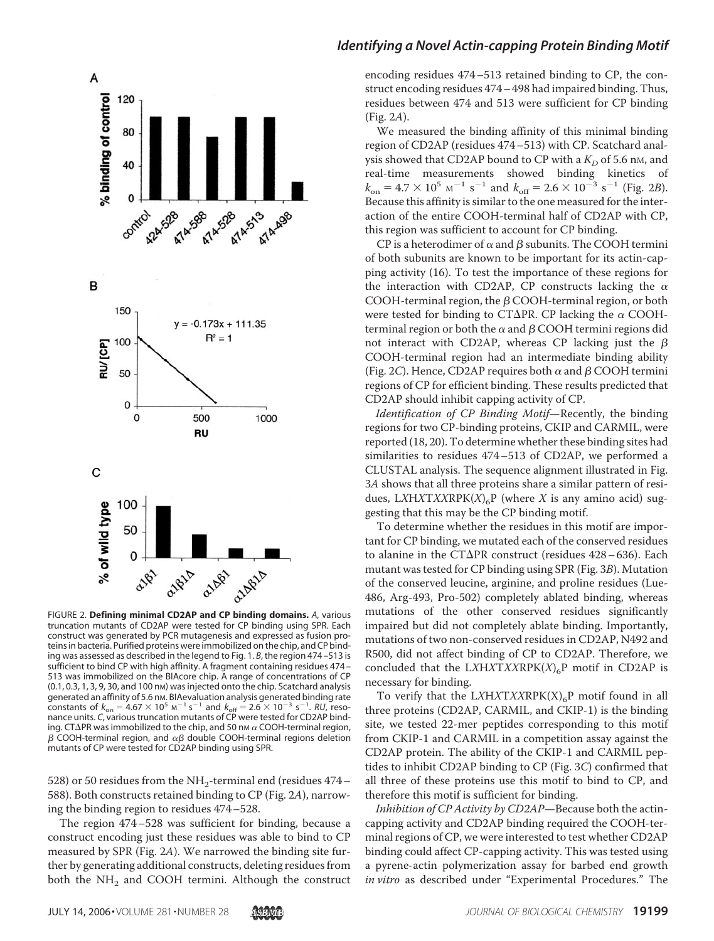

FIGURE 2. **Defining minimal CD2AP and CP binding domains.** *A*, various truncation mutants of CD2AP were tested for CP binding using SPR. Each construct was generated by PCR mutagenesis and expressed as fusion proteins in bacteria. Purified proteins were immobilized on the chip, and CP binding was assessed as described in the legend to Fig. 1. *B*, the region 474 –513 is sufficient to bind CP with high affinity. A fragment containing residues 474 – 513 was immobilized on the BIAcore chip. A range of concentrations of CP (0.1, 0.3, 1, 3, 9, 30, and 100 nM) was injected onto the chip. Scatchard analysis generated an affinity of 5.6 nm. BIAevaluation analysis generated binding rate constants of  $k_{on} = 4.67 \times 10^5 \text{ m}^{-1} \text{ s}^{-1}$  and  $k_{off} = 2.6 \times 10^{-3} \text{ s}^{-1}$ . *RU*, resonance units. *C*, various truncation mutants of CP were tested for CD2AP binding. CT $\Delta$ PR was immobilized to the chip, and 50 nm  $\alpha$  COOH-terminal region,  $\beta$  COOH-terminal region, and  $\alpha\beta$  double COOH-terminal regions deletion mutants of CP were tested for CD2AP binding using SPR.

528) or 50 residues from the NH<sub>2</sub>-terminal end (residues  $474-$ 588). Both constructs retained binding to CP (Fig. 2*A*), narrowing the binding region to residues 474–528.

The region 474–528 was sufficient for binding, because a construct encoding just these residues was able to bind to CP measured by SPR (Fig. 2*A*). We narrowed the binding site further by generating additional constructs, deleting residues from both the  $NH<sub>2</sub>$  and COOH termini. Although the construct

#### *Identifying a Novel Actin-capping Protein Binding Motif*

encoding residues 474–513 retained binding to CP, the construct encoding residues 474– 498 had impaired binding. Thus, residues between 474 and 513 were sufficient for CP binding (Fig. 2*A*).

We measured the binding affinity of this minimal binding region of CD2AP (residues 474–513) with CP. Scatchard analysis showed that CD2AP bound to CP with a  $K_D$  of 5.6 nm, and real-time measurements showed binding kinetics of  $k_{\text{on}} = 4.7 \times 10^5 \text{ m}^{-1} \text{ s}^{-1}$  and  $k_{\text{off}} = 2.6 \times 10^{-3} \text{ s}^{-1}$  (Fig. 2*B*). Because this affinity is similar to the one measured for the interaction of the entire COOH-terminal half of CD2AP with CP, this region was sufficient to account for CP binding.

CP is a heterodimer of  $\alpha$  and  $\beta$  subunits. The COOH termini of both subunits are known to be important for its actin-capping activity (16). To test the importance of these regions for the interaction with CD2AP, CP constructs lacking the  $\alpha$ COOH-terminal region, the  $\beta$  COOH-terminal region, or both were tested for binding to CT $\Delta$ PR. CP lacking the  $\alpha$  COOHterminal region or both the  $\alpha$  and  $\beta$  COOH termini regions did not interact with CD2AP, whereas CP lacking just the  $\beta$ COOH-terminal region had an intermediate binding ability (Fig. 2C). Hence, CD2AP requires both  $\alpha$  and  $\beta$  COOH termini regions of CP for efficient binding. These results predicted that CD2AP should inhibit capping activity of CP.

*Identification of CP Binding Motif*—Recently, the binding regions for two CP-binding proteins, CKIP and CARMIL, were reported (18, 20). To determine whether these binding sites had similarities to residues 474–513 of CD2AP, we performed a CLUSTAL analysis. The sequence alignment illustrated in Fig. 3*A* shows that all three proteins share a similar pattern of residues, LXHXTXXRPK $(X)_{6}P$  (where X is any amino acid) suggesting that this may be the CP binding motif.

To determine whether the residues in this motif are important for CP binding, we mutated each of the conserved residues to alanine in the CT $\Delta$ PR construct (residues 428–636). Each mutant was tested for CP binding using SPR (Fig. 3*B*). Mutation of the conserved leucine, arginine, and proline residues (Lue-486, Arg-493, Pro-502) completely ablated binding, whereas mutations of the other conserved residues significantly impaired but did not completely ablate binding. Importantly, mutations of two non-conserved residues in CD2AP, N492 and R500, did not affect binding of CP to CD2AP. Therefore, we concluded that the LXHXTXXRPK $(X)_{6}P$  motif in CD2AP is necessary for binding.

To verify that the LXHXTXXRPK(X)<sub>6</sub>P motif found in all three proteins (CD2AP, CARMIL, and CKIP-1) is the binding site, we tested 22-mer peptides corresponding to this motif from CKIP-1 and CARMIL in a competition assay against the CD2AP protein. The ability of the CKIP-1 and CARMIL peptides to inhibit CD2AP binding to CP (Fig. 3*C*) confirmed that all three of these proteins use this motif to bind to CP, and therefore this motif is sufficient for binding.

*Inhibition of CP Activity by CD2AP*—Because both the actincapping activity and CD2AP binding required the COOH-terminal regions of CP, we were interested to test whether CD2AP binding could affect CP-capping activity. This was tested using a pyrene-actin polymerization assay for barbed end growth *in vitro* as described under "Experimental Procedures." The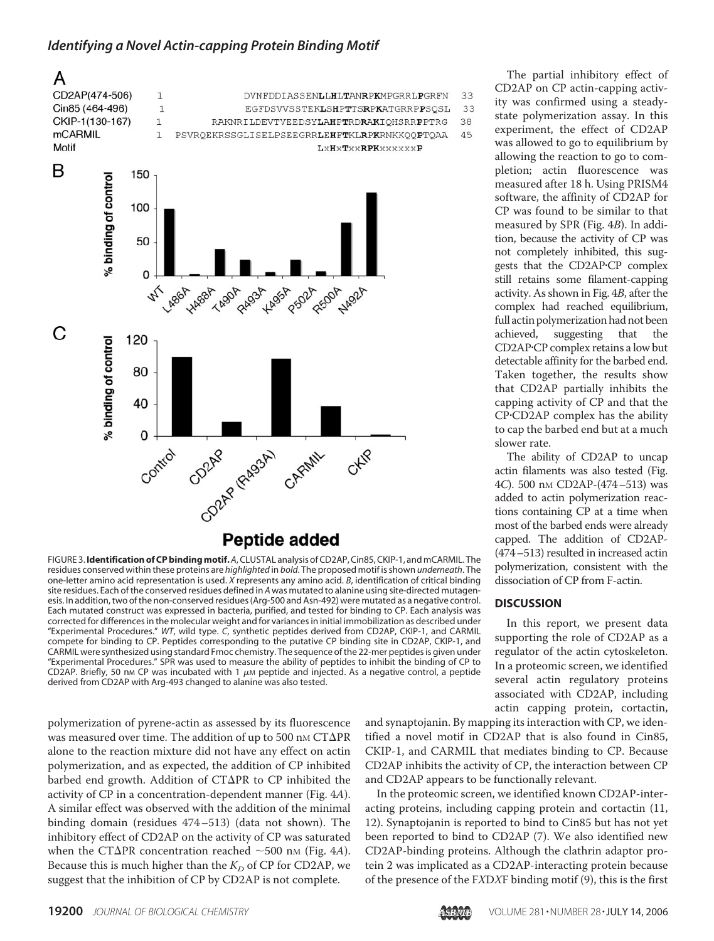

FIGURE 3.**Identification of CP bindingmotif.***A*, CLUSTAL analysis of CD2AP, Cin85, CKIP-1, and mCARMIL. The residues conserved within these proteins are *highlighted* in *bold*. The proposed motif is shown *underneath*. The one-letter amino acid representation is used. *X* represents any amino acid. *B*, identification of critical binding site residues. Each of the conserved residues defined in *A* was mutated to alanine using site-directed mutagenesis. In addition, two of the non-conserved residues (Arg-500 and Asn-492) were mutated as a negative control. Each mutated construct was expressed in bacteria, purified, and tested for binding to CP. Each analysis was corrected for differences in the molecular weight and for variances in initial immobilization as described under "Experimental Procedures." *WT*, wild type. *C*, synthetic peptides derived from CD2AP, CKIP-1, and CARMIL compete for binding to CP. Peptides corresponding to the putative CP binding site in CD2AP, CKIP-1, and CARMIL were synthesized using standard Fmoc chemistry. The sequence of the 22-mer peptides is given under "Experimental Procedures." SPR was used to measure the ability of peptides to inhibit the binding of CP to CD2AP. Briefly, 50 nm CP was incubated with 1  $\mu$ m peptide and injected. As a negative control, a peptide derived from CD2AP with Arg-493 changed to alanine was also tested.

polymerization of pyrene-actin as assessed by its fluorescence was measured over time. The addition of up to 500 nm  $CT\Delta PR$ alone to the reaction mixture did not have any effect on actin polymerization, and as expected, the addition of CP inhibited barbed end growth. Addition of  $CT\Delta PR$  to CP inhibited the activity of CP in a concentration-dependent manner (Fig. 4*A*). A similar effect was observed with the addition of the minimal binding domain (residues 474–513) (data not shown). The inhibitory effect of CD2AP on the activity of CP was saturated when the CT $\Delta$ PR concentration reached  $\sim$  500 nm (Fig. 4*A*). Because this is much higher than the  $K_D$  of CP for CD2AP, we suggest that the inhibition of CP by CD2AP is not complete.

The partial inhibitory effect of CD2AP on CP actin-capping activity was confirmed using a steadystate polymerization assay. In this experiment, the effect of CD2AP was allowed to go to equilibrium by allowing the reaction to go to completion; actin fluorescence was measured after 18 h. Using PRISM4 software, the affinity of CD2AP for CP was found to be similar to that measured by SPR (Fig. 4*B*). In addition, because the activity of CP was not completely inhibited, this suggests that the CD2APCP complex still retains some filament-capping activity. As shown in Fig. 4*B*, after the complex had reached equilibrium, full actin polymerization had not been achieved, suggesting that the CD2APCP complex retains a low but detectable affinity for the barbed end. Taken together, the results show that CD2AP partially inhibits the capping activity of CP and that the CPCD2AP complex has the ability to cap the barbed end but at a much slower rate.

The ability of CD2AP to uncap actin filaments was also tested (Fig. 4*C*). 500 nM CD2AP-(474–513) was added to actin polymerization reactions containing CP at a time when most of the barbed ends were already capped. The addition of CD2AP- (474–513) resulted in increased actin polymerization, consistent with the dissociation of CP from F-actin.

#### **DISCUSSION**

In this report, we present data supporting the role of CD2AP as a regulator of the actin cytoskeleton. In a proteomic screen, we identified several actin regulatory proteins associated with CD2AP, including actin capping protein, cortactin,

and synaptojanin. By mapping its interaction with CP, we identified a novel motif in CD2AP that is also found in Cin85, CKIP-1, and CARMIL that mediates binding to CP. Because CD2AP inhibits the activity of CP, the interaction between CP and CD2AP appears to be functionally relevant.

In the proteomic screen, we identified known CD2AP-interacting proteins, including capping protein and cortactin (11, 12). Synaptojanin is reported to bind to Cin85 but has not yet been reported to bind to CD2AP (7). We also identified new CD2AP-binding proteins. Although the clathrin adaptor protein 2 was implicated as a CD2AP-interacting protein because of the presence of the F*X*D*X*F binding motif (9), this is the first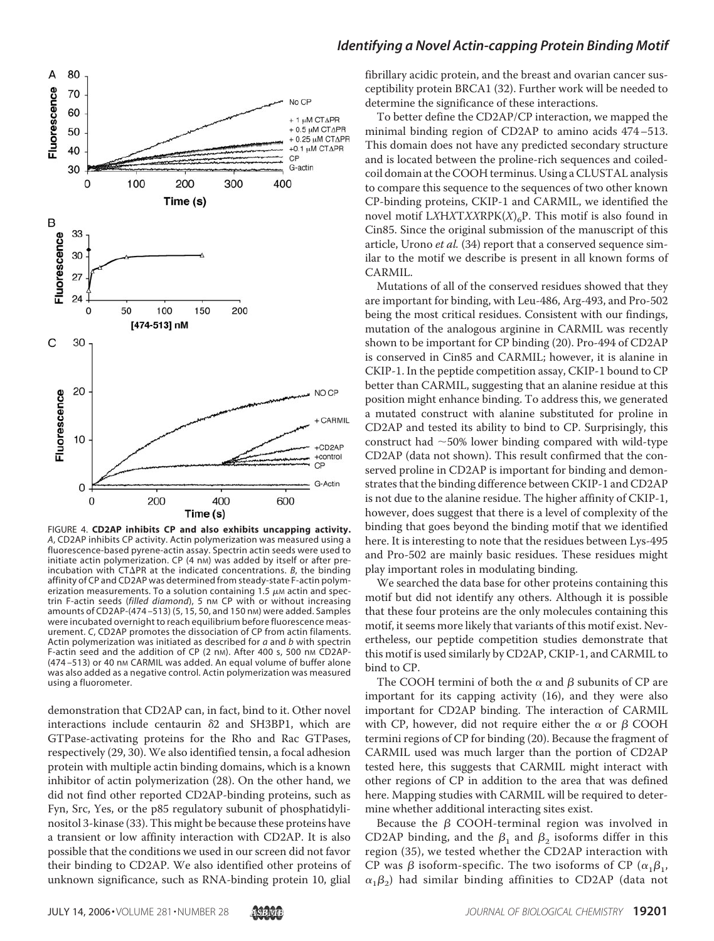

FIGURE 4. **CD2AP inhibits CP and also exhibits uncapping activity.** *A*, CD2AP inhibits CP activity. Actin polymerization was measured using a fluorescence-based pyrene-actin assay. Spectrin actin seeds were used to initiate actin polymerization. CP (4 nm) was added by itself or after preincubation with CT $\Delta$ PR at the indicated concentrations. *B*, the binding affinity of CP and CD2AP was determined from steady-state F-actin polymerization measurements. To a solution containing 1.5  $\mu$ M actin and spectrin F-actin seeds (filled diamond), 5 nm CP with or without increasing amounts of CD2AP-(474-513) (5, 15, 50, and 150 nm) were added. Samples were incubated overnight to reach equilibrium before fluorescence measurement. *C*, CD2AP promotes the dissociation of CP from actin filaments. Actin polymerization was initiated as described for *a* and *b* with spectrin F-actin seed and the addition of CP (2 nm). After 400 s, 500 nm CD2AP-(474-513) or 40 nm CARMIL was added. An equal volume of buffer alone was also added as a negative control. Actin polymerization was measured using a fluorometer.

demonstration that CD2AP can, in fact, bind to it. Other novel interactions include centaurin  $\delta$ 2 and SH3BP1, which are GTPase-activating proteins for the Rho and Rac GTPases, respectively (29, 30). We also identified tensin, a focal adhesion protein with multiple actin binding domains, which is a known inhibitor of actin polymerization (28). On the other hand, we did not find other reported CD2AP-binding proteins, such as Fyn, Src, Yes, or the p85 regulatory subunit of phosphatidylinositol 3-kinase (33). This might be because these proteins have a transient or low affinity interaction with CD2AP. It is also possible that the conditions we used in our screen did not favor their binding to CD2AP. We also identified other proteins of unknown significance, such as RNA-binding protein 10, glial

#### *Identifying a Novel Actin-capping Protein Binding Motif*

fibrillary acidic protein, and the breast and ovarian cancer susceptibility protein BRCA1 (32). Further work will be needed to determine the significance of these interactions.

To better define the CD2AP/CP interaction, we mapped the minimal binding region of CD2AP to amino acids 474–513. This domain does not have any predicted secondary structure and is located between the proline-rich sequences and coiledcoil domain at the COOH terminus. Using a CLUSTAL analysis to compare this sequence to the sequences of two other known CP-binding proteins, CKIP-1 and CARMIL, we identified the novel motif  $LXHXTXXRPK(X)_{6}P$ . This motif is also found in Cin85. Since the original submission of the manuscript of this article, Urono *et al.* (34) report that a conserved sequence similar to the motif we describe is present in all known forms of CARMIL.

Mutations of all of the conserved residues showed that they are important for binding, with Leu-486, Arg-493, and Pro-502 being the most critical residues. Consistent with our findings, mutation of the analogous arginine in CARMIL was recently shown to be important for CP binding (20). Pro-494 of CD2AP is conserved in Cin85 and CARMIL; however, it is alanine in CKIP-1. In the peptide competition assay, CKIP-1 bound to CP better than CARMIL, suggesting that an alanine residue at this position might enhance binding. To address this, we generated a mutated construct with alanine substituted for proline in CD2AP and tested its ability to bind to CP. Surprisingly, this construct had  $\sim$  50% lower binding compared with wild-type CD2AP (data not shown). This result confirmed that the conserved proline in CD2AP is important for binding and demonstrates that the binding difference between CKIP-1 and CD2AP is not due to the alanine residue. The higher affinity of CKIP-1, however, does suggest that there is a level of complexity of the binding that goes beyond the binding motif that we identified here. It is interesting to note that the residues between Lys-495 and Pro-502 are mainly basic residues. These residues might play important roles in modulating binding.

We searched the data base for other proteins containing this motif but did not identify any others. Although it is possible that these four proteins are the only molecules containing this motif, it seems more likely that variants of this motif exist. Nevertheless, our peptide competition studies demonstrate that this motif is used similarly by CD2AP, CKIP-1, and CARMIL to bind to CP.

The COOH termini of both the  $\alpha$  and  $\beta$  subunits of CP are important for its capping activity (16), and they were also important for CD2AP binding. The interaction of CARMIL with CP, however, did not require either the  $\alpha$  or  $\beta$  COOH termini regions of CP for binding (20). Because the fragment of CARMIL used was much larger than the portion of CD2AP tested here, this suggests that CARMIL might interact with other regions of CP in addition to the area that was defined here. Mapping studies with CARMIL will be required to determine whether additional interacting sites exist.

Because the  $\beta$  COOH-terminal region was involved in CD2AP binding, and the  $\beta_1$  and  $\beta_2$  isoforms differ in this region (35), we tested whether the CD2AP interaction with CP was  $\beta$  isoform-specific. The two isoforms of CP ( $\alpha_1\beta_1$ ,  $\alpha_1\beta_2$ ) had similar binding affinities to CD2AP (data not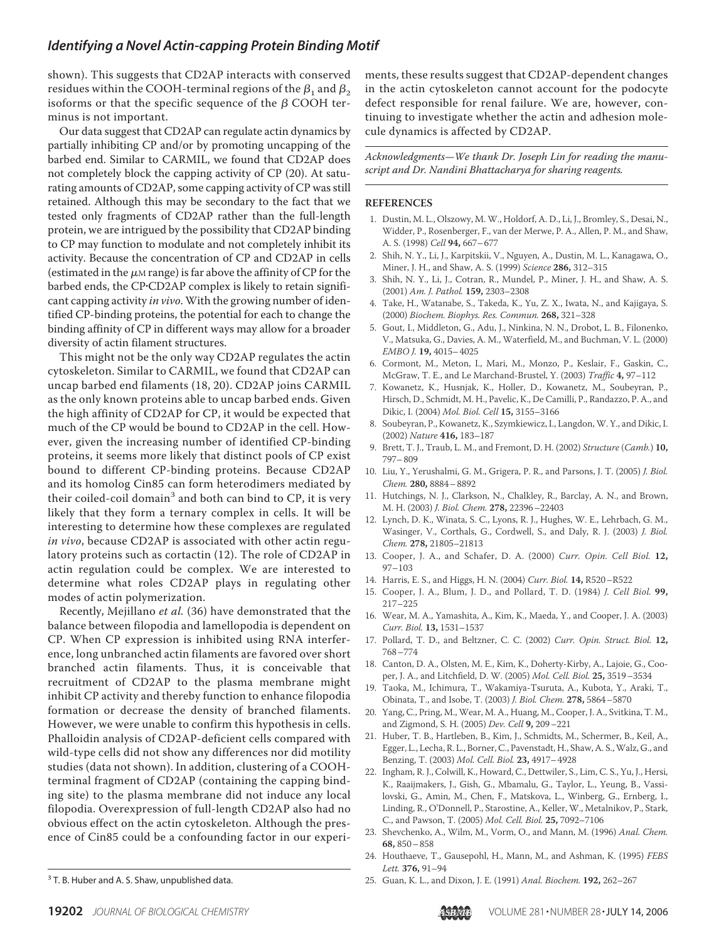shown). This suggests that CD2AP interacts with conserved residues within the COOH-terminal regions of the  $\beta_1$  and  $\beta_2$ isoforms or that the specific sequence of the  $\beta$  COOH terminus is not important.

Our data suggest that CD2AP can regulate actin dynamics by partially inhibiting CP and/or by promoting uncapping of the barbed end. Similar to CARMIL, we found that CD2AP does not completely block the capping activity of CP (20). At saturating amounts of CD2AP, some capping activity of CP was still retained. Although this may be secondary to the fact that we tested only fragments of CD2AP rather than the full-length protein, we are intrigued by the possibility that CD2AP binding to CP may function to modulate and not completely inhibit its activity. Because the concentration of CP and CD2AP in cells (estimated in the  $\mu$ <sub>M</sub> range) is far above the affinity of CP for the barbed ends, the CP·CD2AP complex is likely to retain significant capping activity *in vivo*. With the growing number of identified CP-binding proteins, the potential for each to change the binding affinity of CP in different ways may allow for a broader diversity of actin filament structures.

This might not be the only way CD2AP regulates the actin cytoskeleton. Similar to CARMIL, we found that CD2AP can uncap barbed end filaments (18, 20). CD2AP joins CARMIL as the only known proteins able to uncap barbed ends. Given the high affinity of CD2AP for CP, it would be expected that much of the CP would be bound to CD2AP in the cell. However, given the increasing number of identified CP-binding proteins, it seems more likely that distinct pools of CP exist bound to different CP-binding proteins. Because CD2AP and its homolog Cin85 can form heterodimers mediated by their coiled-coil domain<sup>3</sup> and both can bind to  $CP$ , it is very likely that they form a ternary complex in cells. It will be interesting to determine how these complexes are regulated *in vivo*, because CD2AP is associated with other actin regulatory proteins such as cortactin (12). The role of CD2AP in actin regulation could be complex. We are interested to determine what roles CD2AP plays in regulating other modes of actin polymerization.

Recently, Mejillano *et al.* (36) have demonstrated that the balance between filopodia and lamellopodia is dependent on CP. When CP expression is inhibited using RNA interference, long unbranched actin filaments are favored over short branched actin filaments. Thus, it is conceivable that recruitment of CD2AP to the plasma membrane might inhibit CP activity and thereby function to enhance filopodia formation or decrease the density of branched filaments. However, we were unable to confirm this hypothesis in cells. Phalloidin analysis of CD2AP-deficient cells compared with wild-type cells did not show any differences nor did motility studies (data not shown). In addition, clustering of a COOHterminal fragment of CD2AP (containing the capping binding site) to the plasma membrane did not induce any local filopodia. Overexpression of full-length CD2AP also had no obvious effect on the actin cytoskeleton. Although the presence of Cin85 could be a confounding factor in our experi-

ments, these results suggest that CD2AP-dependent changes in the actin cytoskeleton cannot account for the podocyte defect responsible for renal failure. We are, however, continuing to investigate whether the actin and adhesion molecule dynamics is affected by CD2AP.

*Acknowledgments—We thank Dr. Joseph Lin for reading the manuscript and Dr. Nandini Bhattacharya for sharing reagents.*

#### **REFERENCES**

- 1. Dustin, M. L., Olszowy, M. W., Holdorf, A. D., Li, J., Bromley, S., Desai, N., Widder, P., Rosenberger, F., van der Merwe, P. A., Allen, P. M., and Shaw, A. S. (1998) *Cell* **94,** 667–677
- 2. Shih, N. Y., Li, J., Karpitskii, V., Nguyen, A., Dustin, M. L., Kanagawa, O., Miner, J. H., and Shaw, A. S. (1999) *Science* **286,** 312–315
- 3. Shih, N. Y., Li, J., Cotran, R., Mundel, P., Miner, J. H., and Shaw, A. S. (2001) *Am. J. Pathol.* **159,** 2303–2308
- 4. Take, H., Watanabe, S., Takeda, K., Yu, Z. X., Iwata, N., and Kajigaya, S. (2000) *Biochem. Biophys. Res. Commun.* **268,** 321–328
- 5. Gout, I., Middleton, G., Adu, J., Ninkina, N. N., Drobot, L. B., Filonenko, V., Matsuka, G., Davies, A. M., Waterfield, M., and Buchman, V. L. (2000) *EMBO J.* **19,** 4015–4025
- 6. Cormont, M., Meton, I., Mari, M., Monzo, P., Keslair, F., Gaskin, C., McGraw, T. E., and Le Marchand-Brustel, Y. (2003) *Traffic* **4,** 97–112
- 7. Kowanetz, K., Husnjak, K., Holler, D., Kowanetz, M., Soubeyran, P., Hirsch, D., Schmidt, M. H., Pavelic, K., De Camilli, P., Randazzo, P. A., and Dikic, I. (2004) *Mol. Biol. Cell* **15,** 3155–3166
- 8. Soubeyran, P., Kowanetz, K., Szymkiewicz, I., Langdon, W. Y., and Dikic, I. (2002) *Nature* **416,** 183–187
- 9. Brett, T. J., Traub, L. M., and Fremont, D. H. (2002) *Structure* (*Camb.*) **10,** 797–809
- 10. Liu, Y., Yerushalmi, G. M., Grigera, P. R., and Parsons, J. T. (2005) *J. Biol. Chem.* **280,** 8884–8892
- 11. Hutchings, N. J., Clarkson, N., Chalkley, R., Barclay, A. N., and Brown, M. H. (2003) *J. Biol. Chem.* **278,** 22396–22403
- 12. Lynch, D. K., Winata, S. C., Lyons, R. J., Hughes, W. E., Lehrbach, G. M., Wasinger, V., Corthals, G., Cordwell, S., and Daly, R. J. (2003) *J. Biol. Chem.* **278,** 21805–21813
- 13. Cooper, J. A., and Schafer, D. A. (2000) *Curr. Opin. Cell Biol.* **12,** 97–103
- 14. Harris, E. S., and Higgs, H. N. (2004) *Curr. Biol.* **14,** R520–R522
- 15. Cooper, J. A., Blum, J. D., and Pollard, T. D. (1984) *J. Cell Biol.* **99,** 217–225
- 16. Wear, M. A., Yamashita, A., Kim, K., Maeda, Y., and Cooper, J. A. (2003) *Curr. Biol.* **13,** 1531–1537
- 17. Pollard, T. D., and Beltzner, C. C. (2002) *Curr. Opin. Struct. Biol.* **12,** 768–774
- 18. Canton, D. A., Olsten, M. E., Kim, K., Doherty-Kirby, A., Lajoie, G., Cooper, J. A., and Litchfield, D. W. (2005) *Mol. Cell. Biol.* **25,** 3519–3534
- 19. Taoka, M., Ichimura, T., Wakamiya-Tsuruta, A., Kubota, Y., Araki, T., Obinata, T., and Isobe, T. (2003) *J. Biol. Chem.* **278,** 5864–5870
- 20. Yang, C., Pring, M., Wear, M. A., Huang, M., Cooper, J. A., Svitkina, T. M., and Zigmond, S. H. (2005) *Dev. Cell* **9,** 209–221
- 21. Huber, T. B., Hartleben, B., Kim, J., Schmidts, M., Schermer, B., Keil, A., Egger, L., Lecha, R. L., Borner, C., Pavenstadt, H., Shaw, A. S., Walz, G., and Benzing, T. (2003) *Mol. Cell. Biol.* **23,** 4917–4928
- 22. Ingham, R. J., Colwill, K., Howard, C., Dettwiler, S., Lim, C. S., Yu, J., Hersi, K., Raaijmakers, J., Gish, G., Mbamalu, G., Taylor, L., Yeung, B., Vassilovski, G., Amin, M., Chen, F., Matskova, L., Winberg, G., Ernberg, I., Linding, R., O'Donnell, P., Starostine, A., Keller, W., Metalnikov, P., Stark, C., and Pawson, T. (2005) *Mol. Cell. Biol.* **25,** 7092–7106
- 23. Shevchenko, A., Wilm, M., Vorm, O., and Mann, M. (1996) *Anal. Chem.* **68,** 850–858
- 24. Houthaeve, T., Gausepohl, H., Mann, M., and Ashman, K. (1995) *FEBS Lett.* **376,** 91–94
- 25. Guan, K. L., and Dixon, J. E. (1991) *Anal. Biochem.* **192,** 262–267 <sup>3</sup> T. B. Huber and A. S. Shaw, unpublished data.